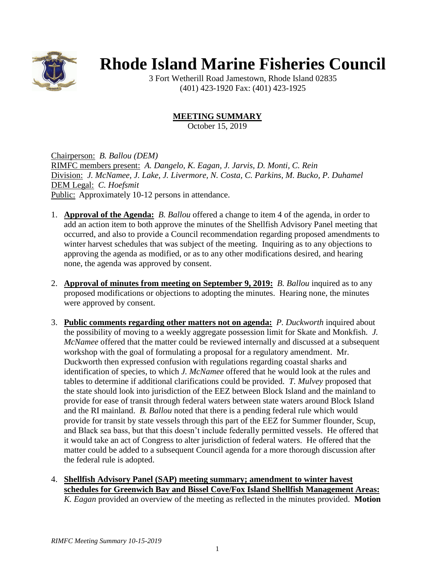

## **Rhode Island Marine Fisheries Council**

3 Fort Wetherill Road Jamestown, Rhode Island 02835 (401) 423-1920 Fax: (401) 423-1925

## **MEETING SUMMARY**

October 15, 2019

Chairperson: *B. Ballou (DEM)* RIMFC members present: *A. Dangelo, K. Eagan, J. Jarvis, D. Monti, C. Rein* Division: *J. McNamee, J. Lake, J. Livermore, N. Costa, C. Parkins, M. Bucko, P. Duhamel* DEM Legal: *C. Hoefsmit* Public: Approximately 10-12 persons in attendance.

- 1. **Approval of the Agenda:** *B. Ballou* offered a change to item 4 of the agenda, in order to add an action item to both approve the minutes of the Shellfish Advisory Panel meeting that occurred, and also to provide a Council recommendation regarding proposed amendments to winter harvest schedules that was subject of the meeting. Inquiring as to any objections to approving the agenda as modified, or as to any other modifications desired, and hearing none, the agenda was approved by consent.
- 2. **Approval of minutes from meeting on September 9, 2019:** *B. Ballou* inquired as to any proposed modifications or objections to adopting the minutes. Hearing none, the minutes were approved by consent.
- 3. **Public comments regarding other matters not on agenda:** *P. Duckworth* inquired about the possibility of moving to a weekly aggregate possession limit for Skate and Monkfish. *J. McNamee* offered that the matter could be reviewed internally and discussed at a subsequent workshop with the goal of formulating a proposal for a regulatory amendment. Mr. Duckworth then expressed confusion with regulations regarding coastal sharks and identification of species, to which *J. McNamee* offered that he would look at the rules and tables to determine if additional clarifications could be provided. *T. Mulvey* proposed that the state should look into jurisdiction of the EEZ between Block Island and the mainland to provide for ease of transit through federal waters between state waters around Block Island and the RI mainland. *B. Ballou* noted that there is a pending federal rule which would provide for transit by state vessels through this part of the EEZ for Summer flounder, Scup, and Black sea bass, but that this doesn't include federally permitted vessels. He offered that it would take an act of Congress to alter jurisdiction of federal waters. He offered that the matter could be added to a subsequent Council agenda for a more thorough discussion after the federal rule is adopted.
- 4. **Shellfish Advisory Panel (SAP) meeting summary; amendment to winter havest schedules for Greenwich Bay and Bissel Cove/Fox Island Shellfish Management Areas:** *K. Eagan* provided an overview of the meeting as reflected in the minutes provided. **Motion**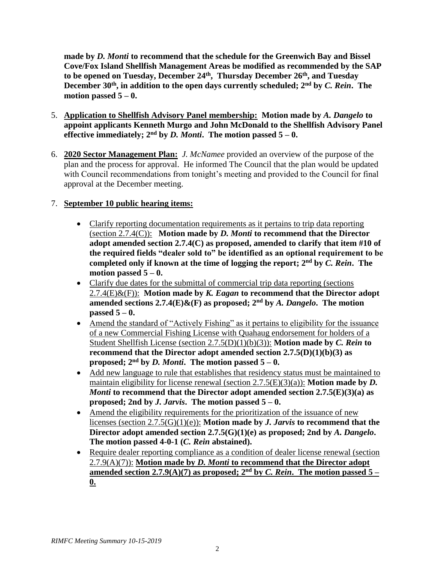**made by** *D. Monti* **to recommend that the schedule for the Greenwich Bay and Bissel Cove/Fox Island Shellfish Management Areas be modified as recommended by the SAP to be opened on Tuesday, December 24 th , Thursday December 26th, and Tuesday December 30th , in addition to the open days currently scheduled; 2nd by** *C. Rein***. The motion passed 5 – 0.** 

- 5. **Application to Shellfish Advisory Panel membership: Motion made by** *A. Dangelo* **to appoint applicants Kenneth Murgo and John McDonald to the Shellfish Advisory Panel effective immediately;**  $2^{nd}$  by *D. Monti*. The motion passed  $5 - 0$ .
- 6. **2020 Sector Management Plan:** *J. McNamee* provided an overview of the purpose of the plan and the process for approval. He informed The Council that the plan would be updated with Council recommendations from tonight's meeting and provided to the Council for final approval at the December meeting.

## 7. **September 10 public hearing items:**

- Clarify reporting documentation requirements as it pertains to trip data reporting (section 2.7.4(C)): **Motion made by** *D. Monti* **to recommend that the Director adopt amended section 2.7.4(C) as proposed, amended to clarify that item #10 of the required fields "dealer sold to" be identified as an optional requirement to be completed only if known at the time of logging the report; 2nd by** *C. Rein***. The motion passed 5 – 0.**
- Clarify due dates for the submittal of commercial trip data reporting (sections 2.7.4(E)&(F)): **Motion made by** *K. Eagan* **to recommend that the Director adopt amended sections 2.7.4(E)&(F) as proposed; 2nd by** *A. Dangelo***. The motion passed 5 – 0.**
- Amend the standard of "Actively Fishing" as it pertains to eligibility for the issuance of a new Commercial Fishing License with Quahaug endorsement for holders of a Student Shellfish License (section 2.7.5(D)(1)(b)(3)): **Motion made by** *C. Rein* **to recommend that the Director adopt amended section 2.7.5(D)(1)(b)(3) as proposed;**  $2<sup>nd</sup>$  **by** *D. Monti***. The motion passed**  $5-0$ **.**
- Add new language to rule that establishes that residency status must be maintained to maintain eligibility for license renewal (section 2.7.5(E)(3)(a)): **Motion made by** *D. Monti* **to recommend that the Director adopt amended section 2.7.5(E)(3)(a) as proposed; 2nd by** *J. Jarvis***. The motion passed 5 – 0.**
- Amend the eligibility requirements for the prioritization of the issuance of new licenses (section 2.7.5(G)(1)(e)): **Motion made by** *J. Jarvis* **to recommend that the Director adopt amended section 2.7.5(G)(1)(e) as proposed; 2nd by** *A. Dangelo***. The motion passed 4-0-1 (***C. Rein* **abstained).**
- Require dealer reporting compliance as a condition of dealer license renewal (section 2.7.9(A)(7)): **Motion made by** *D. Monti* **to recommend that the Director adopt amended section** 2.7.9(A)(7) as proposed;  $2<sup>nd</sup>$  by *C. Rein*. The motion passed 5 – **0.**